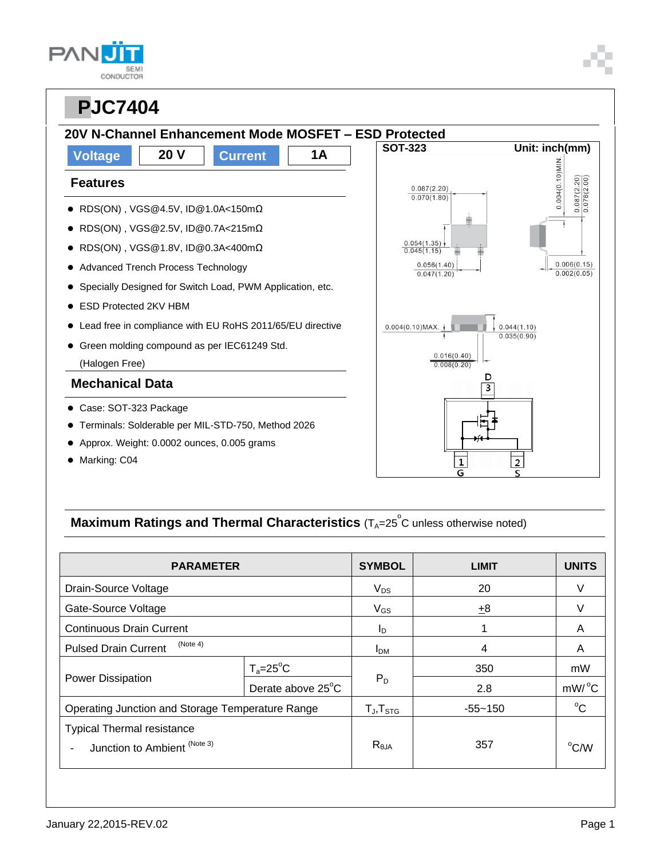| <b>SEMI</b><br>CONDUCTOR |
|--------------------------|

## **PPJC7404 20V N-Channel Enhancement Mode MOSFET – ESD Protected Voltage 20 V Current 1A Features** RDS(ON) , VGS@4.5V, ID@1.0A<150mΩ RDS(ON) , VGS@2.5V, ID@0.7A<215mΩ RDS(ON) , VGS@1.8V, ID@0.3A<400mΩ • Advanced Trench Process Technology Specially Designed for Switch Load, PWM Application, etc. ● ESD Protected 2KV HBM Lead free in compliance with EU RoHS 2011/65/EU directive Green molding compound as per IEC61249 Std. (Halogen Free) **Mechanical Data** Case: SOT-323 Package Terminals: Solderable per MIL-STD-750, Method 2026 Approx. Weight: 0.0002 ounces, 0.005 grams • Marking: C04

### **SOT-323 Unit: inch(mm)**   $0.004(0.10)$ MIN.  $\frac{0.087(2.20)}{0.078(2.00)}$  $0.087(2.20)$  $0.070(1.80)$  $\frac{0.054(1.35)}{0.045(1.15)}$  $0.006(0.15)$  $0.056(1.40)$  $0.002(0.05)$  $0.047(1.20)$  $0.004(0.10)$ MAX.  $0.044(1.10)$  $0.035(0.90)$  $0.016(0.40)$  $0.008(0.20)$ D  $\overline{\overline{3}}$  $\overline{2}$  $\mathbf{1}$

## **Maximum Ratings and Thermal Characteristics** (T<sub>A</sub>=25<sup>°</sup>C unless otherwise noted)

| <b>PARAMETER</b>                                                  |                   | <b>SYMBOL</b>          | <b>LIMIT</b> | <b>UNITS</b>   |
|-------------------------------------------------------------------|-------------------|------------------------|--------------|----------------|
| Drain-Source Voltage                                              |                   | $V_{DS}$               | 20           |                |
| Gate-Source Voltage                                               |                   | $V_{GS}$               | $\pm$ 8      |                |
| <b>Continuous Drain Current</b>                                   |                   | I <sub>D</sub>         |              | A              |
| (Note 4)<br><b>Pulsed Drain Current</b>                           |                   | <b>I</b> <sub>DM</sub> | 4            | A              |
| Power Dissipation                                                 | $T_a = 25$ °C     | $P_D$                  | 350          | mW             |
|                                                                   | Derate above 25°C |                        | 2.8          | mW/°C          |
| Operating Junction and Storage Temperature Range                  |                   | $T_{J}$ , $T_{STG}$    | $-55 - 150$  | $^{\circ}C$    |
| <b>Typical Thermal resistance</b><br>Junction to Ambient (Note 3) |                   | $R_{\theta$ JA         | 357          | $^{\circ}$ C/W |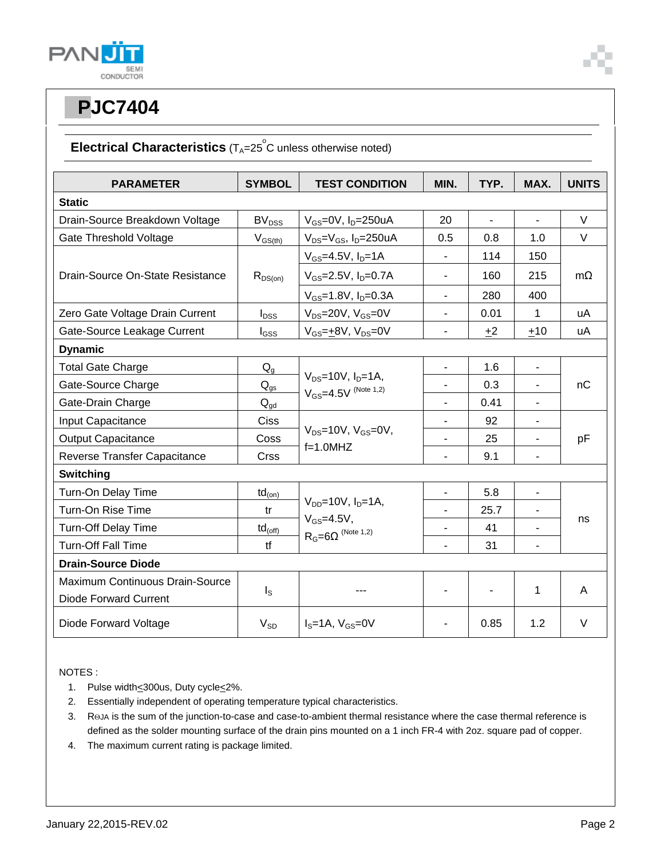

#### **Electrical Characteristics** (T<sub>A</sub>=25<sup>°</sup>C unless otherwise noted)

| <b>PARAMETER</b>                 | <b>SYMBOL</b>            | <b>TEST CONDITION</b>                                                            | MIN.                     | TYP.           | MAX.                     | <b>UNITS</b> |
|----------------------------------|--------------------------|----------------------------------------------------------------------------------|--------------------------|----------------|--------------------------|--------------|
| <b>Static</b>                    |                          |                                                                                  |                          |                |                          |              |
| Drain-Source Breakdown Voltage   | <b>BV</b> <sub>DSS</sub> | $V_{GS}=$ 0V, $I_D=$ 250uA                                                       | 20                       | $\overline{a}$ | $\overline{a}$           | $\vee$       |
| <b>Gate Threshold Voltage</b>    | $V_{GS(th)}$             | $V_{DS} = V_{GS}$ , I <sub>D</sub> =250uA                                        | 0.5                      | 0.8            | 1.0                      | $\vee$       |
| Drain-Source On-State Resistance |                          | $V_{GS} = 4.5V, I_D = 1A$                                                        | $\overline{\phantom{0}}$ | 114            | 150                      |              |
|                                  | $R_{DS(on)}$             | $V_{GS} = 2.5V$ , $I_D = 0.7A$                                                   | $\blacksquare$           | 160            | 215                      | $m\Omega$    |
|                                  |                          | $V_{GS}$ =1.8V, $I_D$ =0.3A                                                      | $\blacksquare$           | 280            | 400                      |              |
| Zero Gate Voltage Drain Current  | $I_{DSS}$                | $V_{DS}$ =20V, $V_{GS}$ =0V                                                      | $\blacksquare$           | 0.01           | 1                        | uA           |
| Gate-Source Leakage Current      | $I_{GSS}$                | $V_{GS} = +8V$ , $V_{DS} = 0V$                                                   | $\overline{\phantom{a}}$ | $+2$           | $+10$                    | uA           |
| <b>Dynamic</b>                   |                          |                                                                                  |                          |                |                          |              |
| <b>Total Gate Charge</b>         | $Q_q$                    | $V_{DS} = 10V$ , $I_D = 1A$ ,<br>$V_{GS} = 4.5V$ (Note 1,2)                      |                          | 1.6            | $\overline{\phantom{a}}$ | nC           |
| Gate-Source Charge               | $\mathsf{Q}_{\text{gs}}$ |                                                                                  |                          | 0.3            |                          |              |
| Gate-Drain Charge                | $Q_{\text{qd}}$          |                                                                                  |                          | 0.41           | ä,                       |              |
| Input Capacitance                | Ciss                     |                                                                                  |                          | 92             | $\overline{a}$           | pF           |
| <b>Output Capacitance</b>        | Coss                     | $V_{DS}$ =10V, $V_{GS}$ =0V,<br>$f=1.0$ MHZ                                      | $\blacksquare$           | 25             | $\blacksquare$           |              |
| Reverse Transfer Capacitance     | Crss                     |                                                                                  | $\blacksquare$           | 9.1            | $\blacksquare$           |              |
| Switching                        |                          |                                                                                  |                          |                |                          |              |
| Turn-On Delay Time               | $td_{(on)}$              |                                                                                  | $\blacksquare$           | 5.8            | $\blacksquare$           |              |
| Turn-On Rise Time                | tr                       | $V_{DD} = 10V$ , $I_D = 1A$ ,<br>$V_{GS} = 4.5V$ ,<br>$R_G = 6\Omega$ (Note 1,2) |                          | 25.7           |                          |              |
| Turn-Off Delay Time              | $td_{(off)}$             |                                                                                  | $\blacksquare$           | 41             | ä,                       | ns           |
| <b>Turn-Off Fall Time</b>        | tf                       |                                                                                  |                          | 31             | $\blacksquare$           |              |
| <b>Drain-Source Diode</b>        |                          |                                                                                  |                          |                |                          |              |
| Maximum Continuous Drain-Source  |                          |                                                                                  |                          |                |                          |              |
| <b>Diode Forward Current</b>     | $I_{\rm S}$              |                                                                                  |                          |                | 1                        | A            |
| Diode Forward Voltage            | $V_{SD}$                 | $IS=1A, VGS=0V$                                                                  |                          | 0.85           | 1.2                      | $\vee$       |

NOTES :

- 1. Pulse width<300us, Duty cycle<2%.
- 2. Essentially independent of operating temperature typical characteristics.
- 3. ROJA is the sum of the junction-to-case and case-to-ambient thermal resistance where the case thermal reference is defined as the solder mounting surface of the drain pins mounted on a 1 inch FR-4 with 2oz. square pad of copper.
- 4. The maximum current rating is package limited.

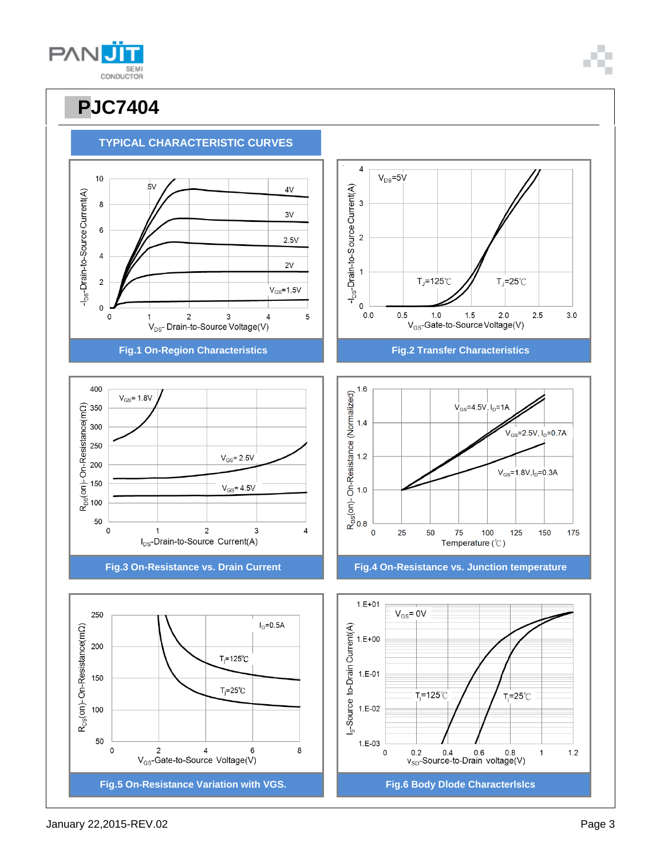

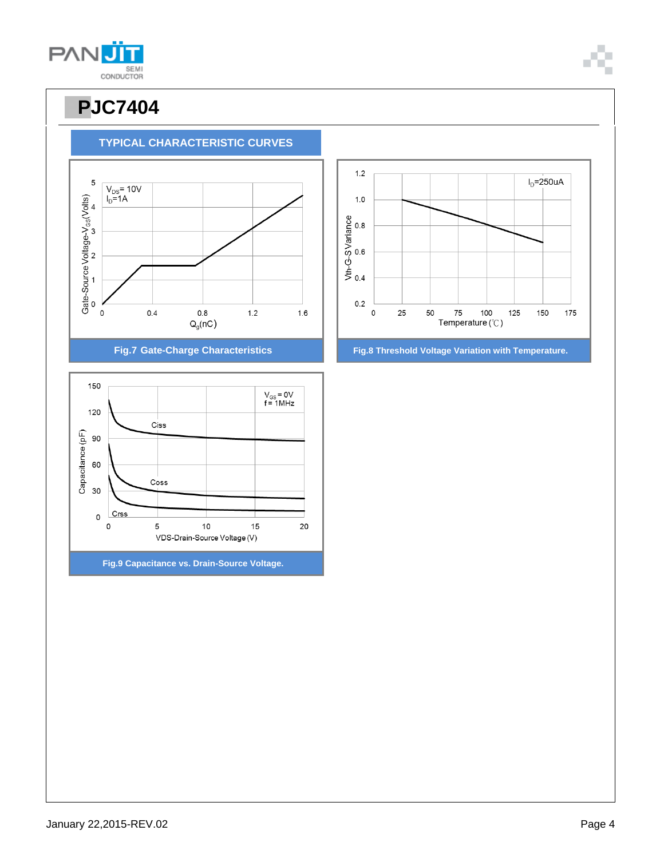

**TYPICAL CHARACTERISTIC CURVES**



**Fig.9 Capacitance vs. Drain-Source Voltage.**

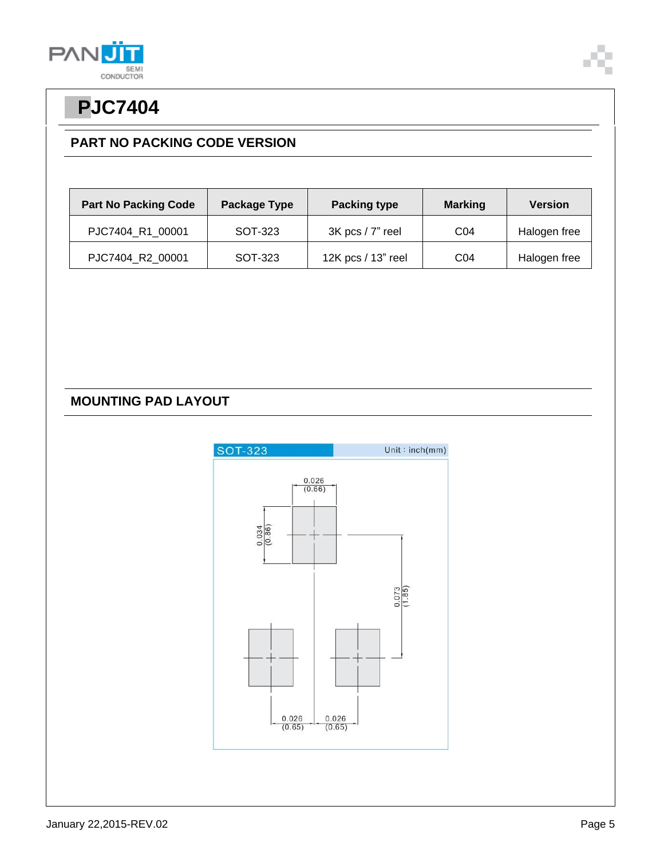



#### **PART NO PACKING CODE VERSION**

| <b>Part No Packing Code</b> | Package Type | <b>Packing type</b> | <b>Marking</b>  | <b>Version</b> |
|-----------------------------|--------------|---------------------|-----------------|----------------|
| PJC7404 R1 00001            | SOT-323      | 3K pcs / 7" reel    | CO <sub>4</sub> | Halogen free   |
| PJC7404_R2_00001            | SOT-323      | 12K pcs / 13" reel  | CO <sub>4</sub> | Halogen free   |

#### **MOUNTING PAD LAYOUT**